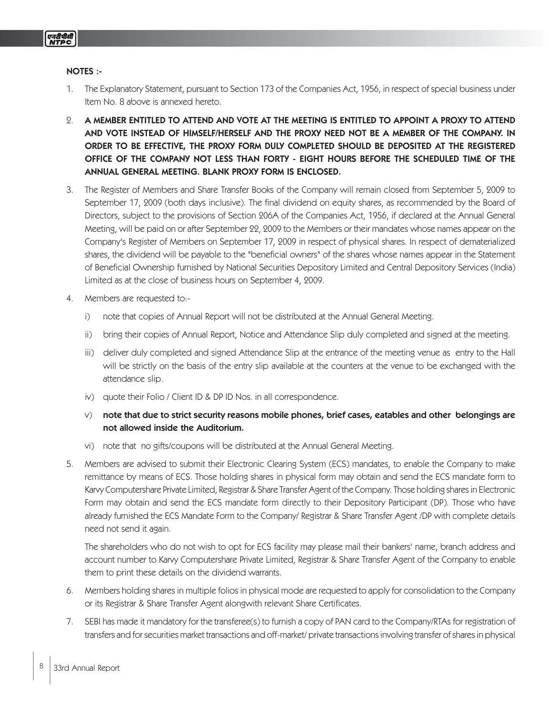# NOTES :-

- 1. The Explanatory Statement, pursuant to Section 173 of the Companies Act, 1956, in respect of special business under Item No. 8 above is annexed hereto.
- 2. A MEMBER ENTITLED TO ATTEND AND VOTE AT THE MEETING IS ENTITLED TO APPOINT A PROXY TO ATTEND AND VOTE INSTEAD OF HIMSELF/HERSELF AND THE PROXY NEED NOT BE A MEMBER OF THE COMPANY. IN ORDER TO BE EFFECTIVE, THE PROXY FORM DULY COMPLETED SHOULD BE DEPOSITED AT THE REGISTERED OFFICE OF THE COMPANY NOT LESS THAN FORTY - EIGHT HOURS BEFORE THE SCHEDULED TIME OF THE ANNUAL GENERAL MEETING. BLANK PROXY FORM IS ENCLOSED.
- 3. The Register of Members and Share Transfer Books of the Company will remain closed from September 5, 2009 to September 17, 2009 (both days inclusive). The final dividend on equity shares, as recommended by the Board of Directors, subject to the provisions of Section 206A of the Companies Act, 1956, if declared at the Annual General Meeting, will be paid on or after September 22, 2009 to the Members or their mandates whose names appear on the Company's Register of Members on September 17, 2009 in respect of physical shares. In respect of dematerialized shares, the dividend will be payable to the "beneficial owners" of the shares whose names appear in the Statement of Beneficial Ownership furnished by National Securities Depository Limited and Central Depository Services (India) Limited as at the close of business hours on September 4, 2009.
- 4. Members are requested to:
	- i) note that copies of Annual Report will not be distributed at the Annual General Meeting.
	- ii) bring their copies of Annual Report, Notice and Attendance Slip duly completed and signed at the meeting.
	- iii) deliver duly completed and signed Attendance Slip at the entrance of the meeting venue as entry to the Hall will be strictly on the basis of the entry slip available at the counters at the venue to be exchanged with the attendance slip.
	- iv) quote their Folio / Client ID & DP ID Nos. in all correspondence.
	- $\vee$  note that due to strict security reasons mobile phones, brief cases, eatables and other belongings are not allowed inside the Auditorium.
	- vi) note that no gifts/coupons will be distributed at the Annual General Meeting.
- 5. Members are advised to submit their Electronic Clearing System (ECS) mandates, to enable the Company to make remittance by means of ECS. Those holding shares in physical form may obtain and send the ECS mandate form to Karvy Computershare Private Limited, Registrar & Share Transfer Agent of the Company. Those holding shares in Electronic Form may obtain and send the ECS mandate form directly to their Depository Participant (DP). Those who have already furnished the ECS Mandate Form to the Company/ Registrar & Share Transfer Agent /DP with complete details need not send it again.

The shareholders who do not wish to opt for ECS facility may please mail their bankers' name, branch address and account number to Karvy Computershare Private Limited, Registrar & Share Transfer Agent of the Company to enable them to print these details on the dividend warrants.

- 6. Members holding shares in multiple folios in physical mode are requested to apply for consolidation to the Company or its Registrar & Share Transfer Agent alongwith relevant Share Certificates.
- 7. SEBI has made it mandatory for the transferee(s) to furnish a copy of PAN card to the Company/RTAs for registration of transfers and for securities market transactions and off-market/ private transactions involving transfer of shares in physical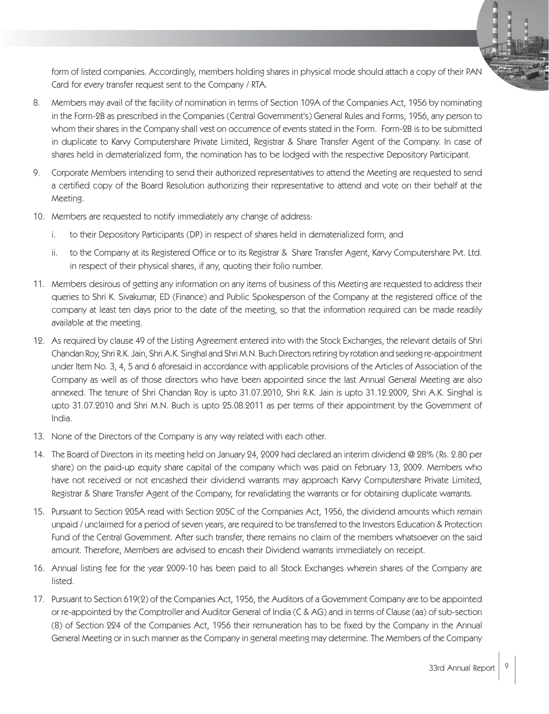form of listed companies. Accordingly, members holding shares in physical mode should attach a copy of their PAN Card for every transfer request sent to the Company / RTA.

- 8. Members may avail of the facility of nomination in terms of Section 109A of the Companies Act, 1956 by nominating in the Form-2B as prescribed in the Companies (Central Government's) General Rules and Forms, 1956, any person to whom their shares in the Company shall vest on occurrence of events stated in the Form. Form-2B is to be submitted in duplicate to Karvy Computershare Private Limited, Registrar & Share Transfer Agent of the Company. In case of shares held in dematerialized form, the nomination has to be lodged with the respective Depository Participant.
- 9. Corporate Members intending to send their authorized representatives to attend the Meeting are requested to send a certified copy of the Board Resolution authorizing their representative to attend and vote on their behalf at the Meeting.
- 10. Members are requested to notify immediately any change of address:
	- i. to their Depository Participants (DP) in respect of shares held in dematerialized form, and
	- ii. to the Company at its Registered Office or to its Registrar & Share Transfer Agent, Karvy Computershare Pvt. Ltd. in respect of their physical shares, if any, quoting their folio number.
- 11. Members desirous of getting any information on any items of business of this Meeting are requested to address their queries to Shri K. Sivakumar, ED (Finance) and Public Spokesperson of the Company at the registered office of the company at least ten days prior to the date of the meeting, so that the information required can be made readily available at the meeting.
- 12. As required by clause 49 of the Listing Agreement entered into with the Stock Exchanges, the relevant details of Shri Chandan Roy, Shri R.K. Jain, Shri A.K. Singhal and Shri M.N. Buch Directors retiring by rotation and seeking re-appointment under Item No. 3, 4, 5 and 6 aforesaid in accordance with applicable provisions of the Articles of Association of the Company as well as of those directors who have been appointed since the last Annual General Meeting are also annexed. The tenure of Shri Chandan Roy is upto 31.07.2010, Shri R.K. Jain is upto 31.12.2009, Shri A.K. Singhal is upto 31.07.2010 and Shri M.N. Buch is upto 25.08.2011 as per terms of their appointment by the Government of India.
- 13. None of the Directors of the Company is any way related with each other.
- 14. The Board of Directors in its meeting held on January 24, 2009 had declared an interim dividend @ 28% (Rs. 2.80 per share) on the paid-up equity share capital of the company which was paid on February 13, 2009. Members who have not received or not encashed their dividend warrants may approach Karvy Computershare Private Limited, Registrar & Share Transfer Agent of the Company, for revalidating the warrants or for obtaining duplicate warrants.
- 15. Pursuant to Section 205A read with Section 205C of the Companies Act, 1956, the dividend amounts which remain unpaid / unclaimed for a period of seven years, are required to be transferred to the Investors Education & Protection Fund of the Central Government. After such transfer, there remains no claim of the members whatsoever on the said amount. Therefore, Members are advised to encash their Dividend warrants immediately on receipt.
- 16. Annual listing fee for the year 2009-10 has been paid to all Stock Exchanges wherein shares of the Company are listed.
- 17. Pursuant to Section 619(2) of the Companies Act, 1956, the Auditors of a Government Company are to be appointed or re-appointed by the Comptroller and Auditor General of India (C & AG) and in terms of Clause (aa) of sub-section (8) of Section 224 of the Companies Act, 1956 their remuneration has to be fixed by the Company in the Annual General Meeting or in such manner as the Company in general meeting may determine. The Members of the Company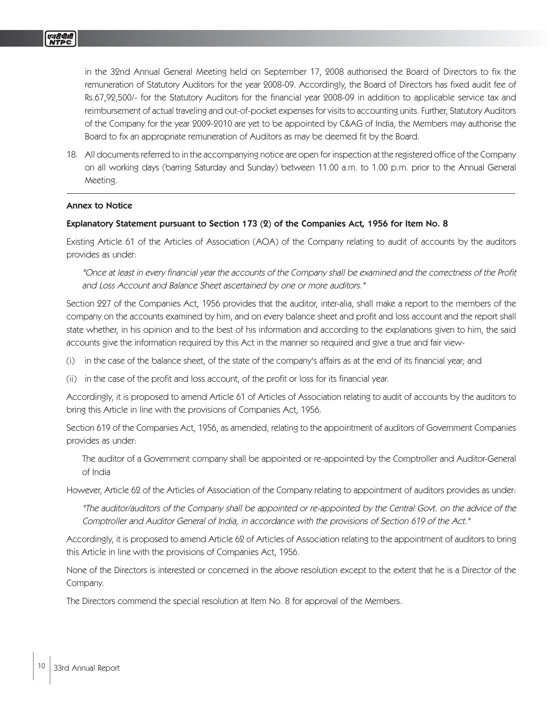in the 32nd Annual General Meeting held on September 17, 2008 authorised the Board of Directors to fix the remuneration of Statutory Auditors for the year 2008-09. Accordingly, the Board of Directors has fixed audit fee of Rs.67,92,500/- for the Statutory Auditors for the financial year 2008-09 in addition to applicable service tax and reimbursement of actual traveling and out-of-pocket expenses for visits to accounting units. Further, Statutory Auditors of the Company for the year 2009-2010 are yet to be appointed by C&AG of India, the Members may authorise the Board to fix an appropriate remuneration of Auditors as may be deemed fit by the Board.

18. All documents referred to in the accompanying notice are open for inspection at the registered office of the Company on all working days (barring Saturday and Sunday) between 11.00 a.m. to 1.00 p.m. prior to the Annual General Meeting.

### Annex to Notice

# Explanatory Statement pursuant to Section 173 (2) of the Companies Act, 1956 for Item No. 8

Existing Article 61 of the Articles of Association (AOA) of the Company relating to audit of accounts by the auditors provides as under:

"Once at least in every financial year the accounts of the Company shall be examined and the correctness of the Profit and Loss Account and Balance Sheet ascertained by one or more auditors."

Section 227 of the Companies Act, 1956 provides that the auditor, inter-alia, shall make a report to the members of the company on the accounts examined by him, and on every balance sheet and profit and loss account and the report shall state whether, in his opinion and to the best of his information and according to the explanations given to him, the said accounts give the information required by this Act in the manner so required and give a true and fair view-

- (i) in the case of the balance sheet, of the state of the company's affairs as at the end of its financial year; and
- (ii) in the case of the profit and loss account, of the profit or loss for its financial year.

Accordingly, it is proposed to amend Article 61 of Articles of Association relating to audit of accounts by the auditors to bring this Article in line with the provisions of Companies Act, 1956.

Section 619 of the Companies Act, 1956, as amended, relating to the appointment of auditors of Government Companies provides as under:

The auditor of a Government company shall be appointed or re-appointed by the Comptroller and Auditor-General of India

However, Article 62 of the Articles of Association of the Company relating to appointment of auditors provides as under:

"The auditor/auditors of the Company shall be appointed or re-appointed by the Central Govt. on the advice of the Comptroller and Auditor General of India, in accordance with the provisions of Section 619 of the Act."

Accordingly, it is proposed to amend Article 62 of Articles of Association relating to the appointment of auditors to bring this Article in line with the provisions of Companies Act, 1956.

None of the Directors is interested or concerned in the above resolution except to the extent that he is a Director of the Company.

The Directors commend the special resolution at Item No. 8 for approval of the Members.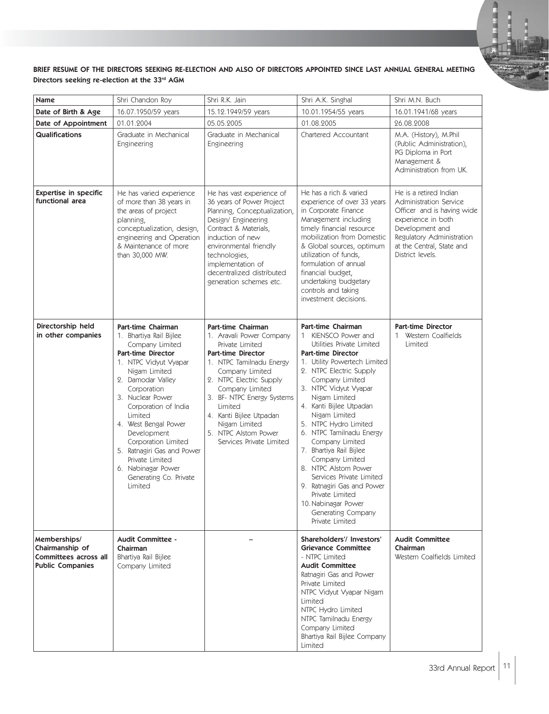### BRIEF RESUME OF THE DIRECTORS SEEKING RE-ELECTION AND ALSO OF DIRECTORS APPOINTED SINCE LAST ANNUAL GENERAL MEETING Directors seeking re-election at the 33rd AGM

| Name                                                                                | Shri Chandon Roy                                                                                                                                                                                                                                                                                                                                                                                             | Shri R.K. Jain                                                                                                                                                                                                                                                                                                                       | Shri A.K. Singhal                                                                                                                                                                                                                                                                                                                                                                                                                                                                                                                                                         | Shri M.N. Buch                                                                                                                                                                                        |
|-------------------------------------------------------------------------------------|--------------------------------------------------------------------------------------------------------------------------------------------------------------------------------------------------------------------------------------------------------------------------------------------------------------------------------------------------------------------------------------------------------------|--------------------------------------------------------------------------------------------------------------------------------------------------------------------------------------------------------------------------------------------------------------------------------------------------------------------------------------|---------------------------------------------------------------------------------------------------------------------------------------------------------------------------------------------------------------------------------------------------------------------------------------------------------------------------------------------------------------------------------------------------------------------------------------------------------------------------------------------------------------------------------------------------------------------------|-------------------------------------------------------------------------------------------------------------------------------------------------------------------------------------------------------|
| Date of Birth & Age                                                                 | 16.07.1950/59 years                                                                                                                                                                                                                                                                                                                                                                                          | 15.12.1949/59 years                                                                                                                                                                                                                                                                                                                  | 10.01.1954/55 years                                                                                                                                                                                                                                                                                                                                                                                                                                                                                                                                                       | 16.01.1941/68 years                                                                                                                                                                                   |
| Date of Appointment                                                                 | 01.01.2004                                                                                                                                                                                                                                                                                                                                                                                                   | 05.05.2005                                                                                                                                                                                                                                                                                                                           | 01.08.2005                                                                                                                                                                                                                                                                                                                                                                                                                                                                                                                                                                | 26.08.2008                                                                                                                                                                                            |
| Qualifications                                                                      | Graduate in Mechanical<br>Engineering                                                                                                                                                                                                                                                                                                                                                                        | Graduate in Mechanical<br>Engineering                                                                                                                                                                                                                                                                                                | Chartered Accountant                                                                                                                                                                                                                                                                                                                                                                                                                                                                                                                                                      | M.A. (History), M.Phil<br>(Public Administration),<br>PG Diploma in Port<br>Management &<br>Administration from UK.                                                                                   |
| <b>Expertise in specific</b><br>functional area                                     | He has varied experience<br>of more than 38 years in<br>the areas of project<br>planning,<br>conceptualization, design,<br>engineering and Operation<br>& Maintenance of more<br>than 30,000 MW.                                                                                                                                                                                                             | He has vast experience of<br>36 years of Power Project<br>Planning, Conceptualization,<br>Design/ Engineering<br>Contract & Materials,<br>induction of new<br>environmental friendly<br>technologies,<br>implementation of<br>decentralized distributed<br>generation schemes etc.                                                   | He has a rich & varied<br>experience of over 33 years<br>in Corporate Finance<br>Management including<br>timely financial resource<br>mobilization from Domestic<br>& Global sources, optimum<br>utilization of funds,<br>formulation of annual<br>financial budget,<br>undertaking budgetary<br>controls and taking<br>investment decisions.                                                                                                                                                                                                                             | He is a retired Indian<br>Administration Service<br>Officer and is having wide<br>experience in both<br>Development and<br>Regulatory Administration<br>at the Central, State and<br>District levels. |
| Directorship held<br>in other companies                                             | Part-time Chairman<br>1. Bhartiya Rail Bijlee<br>Company Limited<br><b>Part-time Director</b><br>1. NTPC Vidyut Vyapar<br>Nigam Limited<br>2. Damodar Valley<br>Corporation<br>3. Nuclear Power<br>Corporation of India<br>Limited<br>4. West Bengal Power<br>Development<br>Corporation Limited<br>5. Ratnagiri Gas and Power<br>Private Limited<br>6. Nabinagar Power<br>Generating Co. Private<br>Limited | Part-time Chairman<br>1. Aravali Power Company<br>Private Limited<br><b>Part-time Director</b><br>1. NTPC Tamilnadu Energy<br>Company Limited<br>2. NTPC Electric Supply<br>Company Limited<br>3. BF- NTPC Energy Systems<br>Limited<br>4. Kanti Bijlee Utpadan<br>Nigam Limited<br>5. NTPC Alstom Power<br>Services Private Limited | <b>Part-time Chairman</b><br>1 KIENSCO Power and<br>Utilities Private Limited<br><b>Part-time Director</b><br>1. Utility Powertech Limited<br>2. NTPC Electric Supply<br>Company Limited<br>3. NTPC Vidyut Vyapar<br>Nigam Limited<br>4. Kanti Bijlee Utpadan<br>Nigam Limited<br>5. NTPC Hydro Limited<br>6. NTPC Tamilnadu Energy<br>Company Limited<br>7. Bhartiya Rail Bijlee<br>Company Limited<br>8. NTPC Alstom Power<br>Services Private Limited<br>9. Ratnagiri Gas and Power<br>Private Limited<br>10. Nabinagar Power<br>Generating Company<br>Private Limited | <b>Part-time Director</b><br>1 Western Coalfields<br>Limited                                                                                                                                          |
| Memberships/<br>Chairmanship of<br>Committees across all<br><b>Public Companies</b> | Audit Committee -<br>Chairman<br>Bhartiya Rail Bijlee<br>Company Limited                                                                                                                                                                                                                                                                                                                                     |                                                                                                                                                                                                                                                                                                                                      | Shareholders'/Investors'<br><b>Grievance Committee</b><br>- NTPC Limited<br><b>Audit Committee</b><br>Ratnagiri Gas and Power<br>Private Limited<br>NTPC Vidyut Vyapar Nigam<br>Limited<br>NTPC Hydro Limited<br>NTPC Tamilnadu Energy<br>Company Limited<br>Bhartiya Rail Bijlee Company<br>Limited                                                                                                                                                                                                                                                                      | <b>Audit Committee</b><br>Chairman<br>Western Coalfields Limited                                                                                                                                      |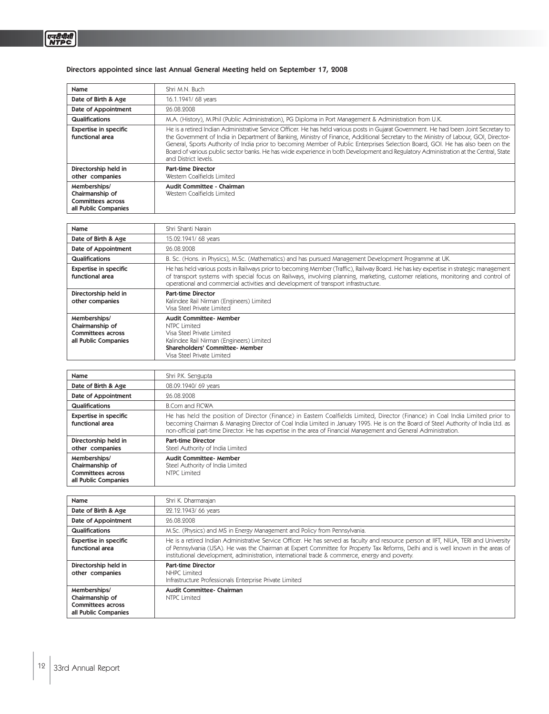# Directors appointed since last Annual General Meeting held on September 17, 2008

| <b>Name</b>                                                                         | Shri M.N. Buch                                                                                                                                                                                                                                                                                                                                                                                                                                                                                                                                                                     |
|-------------------------------------------------------------------------------------|------------------------------------------------------------------------------------------------------------------------------------------------------------------------------------------------------------------------------------------------------------------------------------------------------------------------------------------------------------------------------------------------------------------------------------------------------------------------------------------------------------------------------------------------------------------------------------|
| Date of Birth & Age                                                                 | 16.1.1941/ 68 years                                                                                                                                                                                                                                                                                                                                                                                                                                                                                                                                                                |
| Date of Appointment                                                                 | 96.08.9008                                                                                                                                                                                                                                                                                                                                                                                                                                                                                                                                                                         |
| Qualifications                                                                      | M.A. (History), M.Phil (Public Administration), PG Diploma in Port Management & Administration from U.K.                                                                                                                                                                                                                                                                                                                                                                                                                                                                           |
| <b>Expertise in specific</b><br>functional area                                     | He is a retired Indian Administrative Service Officer. He has held various posts in Gujarat Government. He had been Joint Secretary to<br>the Government of India in Department of Banking, Ministry of Finance, Additional Secretary to the Ministry of Labour, GOI, Director-<br>General, Sports Authority of India prior to becoming Member of Public Enterprises Selection Board, GOI. He has also been on the<br>Board of various public sector banks. He has wide experience in both Development and Regulatory Administration at the Central, State<br>and District levels. |
| Directorship held in<br>other companies                                             | <b>Part-time Director</b><br>Western Coalfields Limited                                                                                                                                                                                                                                                                                                                                                                                                                                                                                                                            |
| Memberships/<br>Chairmanship of<br><b>Committees across</b><br>all Public Companies | Audit Committee - Chairman<br>Western Coalfields Limited                                                                                                                                                                                                                                                                                                                                                                                                                                                                                                                           |

| Name                                                        | Shri Shanti Narain                                                                                                                                                                                                                                                                                                                                               |
|-------------------------------------------------------------|------------------------------------------------------------------------------------------------------------------------------------------------------------------------------------------------------------------------------------------------------------------------------------------------------------------------------------------------------------------|
| Date of Birth & Age                                         | 15.02.1941/ 68 years                                                                                                                                                                                                                                                                                                                                             |
| Date of Appointment                                         | 26.08.2008                                                                                                                                                                                                                                                                                                                                                       |
| Qualifications                                              | B. Sc. (Hons. in Physics), M.Sc. (Mathematics) and has pursued Management Development Programme at UK.                                                                                                                                                                                                                                                           |
| <b>Expertise in specific</b><br>functional area             | He has held various posts in Railways prior to becoming Member (Traffic), Railway Board. He has key expertise in strategic management<br>of transport systems with special focus on Railways, involving planning, marketing, customer relations, monitoring and control of<br>operational and commercial activities and development of transport infrastructure. |
| Directorship held in<br>other companies                     | <b>Part-time Director</b><br>Kalindee Rail Nirman (Engineers) Limited<br>Visa Steel Private Limited                                                                                                                                                                                                                                                              |
| Memberships/<br>Chairmanship of<br><b>Committees across</b> | <b>Audit Committee-Member</b><br>NTPC Limited<br>Visa Steel Private Limited                                                                                                                                                                                                                                                                                      |

| Name                                                                         | Shri P.K. Sengupta                                                                                                                                                                                                                                                                                                                                                                          |
|------------------------------------------------------------------------------|---------------------------------------------------------------------------------------------------------------------------------------------------------------------------------------------------------------------------------------------------------------------------------------------------------------------------------------------------------------------------------------------|
| Date of Birth & Age                                                          | 08.09.1940/ 69 years                                                                                                                                                                                                                                                                                                                                                                        |
| Date of Appointment                                                          | 96.08.9008                                                                                                                                                                                                                                                                                                                                                                                  |
| Qualifications                                                               | <b>B.Com and FICWA</b>                                                                                                                                                                                                                                                                                                                                                                      |
| <b>Expertise in specific</b><br>functional area                              | He has held the position of Director (Finance) in Eastern Coalfields Limited, Director (Finance) in Coal India Limited prior to<br>becoming Chairman & Managing Director of Coal India Limited in January 1995. He is on the Board of Steel Authority of India Ltd. as<br>non-official part-time Director. He has expertise in the area of Financial Management and General Administration. |
| Directorship held in<br>other companies                                      | <b>Part-time Director</b><br>Steel Authority of India Limited                                                                                                                                                                                                                                                                                                                               |
| Memberships/<br>Chairmanship of<br>Committees across<br>all Public Companies | Audit Committee-Member<br>Steel Authority of India Limited<br>NTPC Limited                                                                                                                                                                                                                                                                                                                  |

| Name                                                                                | Shri K. Dharmarajan                                                                                                                                                                                                                                                                                                                                                          |
|-------------------------------------------------------------------------------------|------------------------------------------------------------------------------------------------------------------------------------------------------------------------------------------------------------------------------------------------------------------------------------------------------------------------------------------------------------------------------|
| Date of Birth & Age                                                                 | 22.12.1943/ 66 years                                                                                                                                                                                                                                                                                                                                                         |
| Date of Appointment                                                                 | 96.08.9008                                                                                                                                                                                                                                                                                                                                                                   |
| Qualifications                                                                      | M.Sc. (Physics) and MS in Energy Management and Policy from Pennsylvania.                                                                                                                                                                                                                                                                                                    |
| <b>Expertise in specific</b><br>functional area                                     | He is a retired Indian Administrative Service Officer. He has served as faculty and resource person at IIFT, NIUA, TERI and University<br>of Pennsylvania (USA). He was the Chairman at Expert Committee for Property Tax Reforms, Delhi and is well known in the areas of<br>institutional development, administration, international trade & commerce, energy and poverty. |
| Directorship held in<br>other companies                                             | <b>Part-time Director</b><br>NHPC Limited<br>Infrastructure Professionals Enterprise Private Limited                                                                                                                                                                                                                                                                         |
| Memberships/<br>Chairmanship of<br><b>Committees across</b><br>all Public Companies | Audit Committee- Chairman<br>NTPC Limited                                                                                                                                                                                                                                                                                                                                    |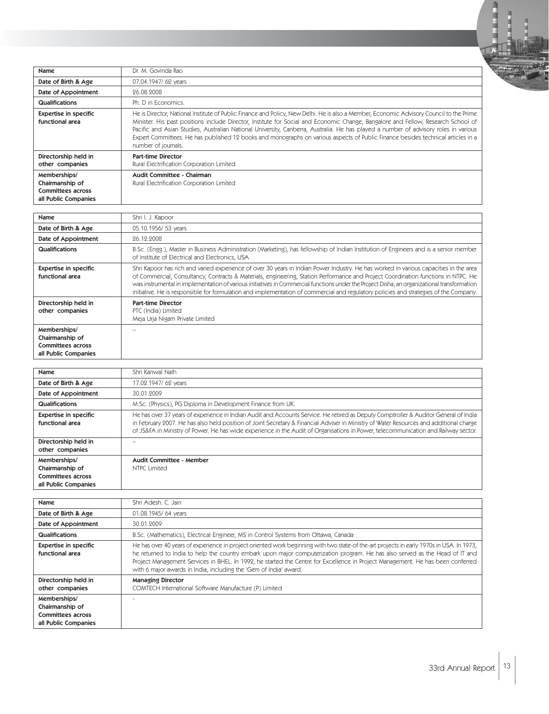

| Name                                                                                | Dr. M. Govinda Rao                                                                                                                                                                                                                                                                                                                                                                                                                                                                                                                                                             |
|-------------------------------------------------------------------------------------|--------------------------------------------------------------------------------------------------------------------------------------------------------------------------------------------------------------------------------------------------------------------------------------------------------------------------------------------------------------------------------------------------------------------------------------------------------------------------------------------------------------------------------------------------------------------------------|
| Date of Birth & Age                                                                 | 07.04.1947/ 62 years                                                                                                                                                                                                                                                                                                                                                                                                                                                                                                                                                           |
| Date of Appointment                                                                 | 96.08.2008                                                                                                                                                                                                                                                                                                                                                                                                                                                                                                                                                                     |
| <b>Qualifications</b>                                                               | Ph. D in Economics.                                                                                                                                                                                                                                                                                                                                                                                                                                                                                                                                                            |
| <b>Expertise in specific</b><br>functional area                                     | He is Director, National Institute of Public Finance and Policy, New Delhi. He is also a Member, Economic Advisory Council to the Prime<br>Minister. His past positions include Director, Institute for Social and Economic Change, Bangalore and Fellow, Research School of<br>Pacific and Asian Studies, Australian National University, Canberra, Australia. He has played a number of advisory roles in various<br>Expert Committees. He has published 12 books and monographs on various aspects of Public Finance besides technical articles in a<br>number of journals. |
| Directorship held in<br>other companies                                             | <b>Part-time Director</b><br>Rural Electrification Corporation Limited                                                                                                                                                                                                                                                                                                                                                                                                                                                                                                         |
| Memberships/<br>Chairmanship of<br><b>Committees across</b><br>all Public Companies | Audit Committee - Chairman<br>Rural Electrification Corporation Limited                                                                                                                                                                                                                                                                                                                                                                                                                                                                                                        |

| Name                                                                                | Shri I. J. Kapoor                                                                                                                                                                                                                                                                                                                                                                                                                                                                                                                                                   |
|-------------------------------------------------------------------------------------|---------------------------------------------------------------------------------------------------------------------------------------------------------------------------------------------------------------------------------------------------------------------------------------------------------------------------------------------------------------------------------------------------------------------------------------------------------------------------------------------------------------------------------------------------------------------|
| Date of Birth & Age                                                                 | 05.10.1956/ 53 years                                                                                                                                                                                                                                                                                                                                                                                                                                                                                                                                                |
| Date of Appointment                                                                 | 26.12.2008                                                                                                                                                                                                                                                                                                                                                                                                                                                                                                                                                          |
| <b>Qualifications</b>                                                               | B.Sc. (Engg.), Master in Business Administration (Marketing), has fellowship of Indian Institution of Engineers and is a senior member<br>of Institute of Electrical and Electronics, USA                                                                                                                                                                                                                                                                                                                                                                           |
| <b>Expertise in specific</b><br>functional area                                     | Shri Kapoor has rich and varied experience of over 30 years in Indian Power Industry. He has worked in various capacities in the area<br>of Commercial, Consultancy, Contracts & Materials, engineering, Station Performance and Project Coordination functions in NTPC. He<br>was instrumental in implementation of various initiatives in Commercial functions under the Project Disha, an organizational transformation<br>initiative. He is responsible for formulation and implementation of commercial and regulatory policies and strategies of the Company. |
| Directorship held in<br>other companies                                             | <b>Part-time Director</b><br>PTC (India) Limited<br>Meja Urja Nigam Private Limited                                                                                                                                                                                                                                                                                                                                                                                                                                                                                 |
| Memberships/<br>Chairmanship of<br><b>Committees across</b><br>all Public Companies |                                                                                                                                                                                                                                                                                                                                                                                                                                                                                                                                                                     |

| Name                                                                                | Shri Kanwal Nath                                                                                                                                                                                                                                                                                                                                                                                                       |
|-------------------------------------------------------------------------------------|------------------------------------------------------------------------------------------------------------------------------------------------------------------------------------------------------------------------------------------------------------------------------------------------------------------------------------------------------------------------------------------------------------------------|
| Date of Birth & Age                                                                 | 17.02.1947/ 62 years                                                                                                                                                                                                                                                                                                                                                                                                   |
| Date of Appointment                                                                 | 30.01.9009                                                                                                                                                                                                                                                                                                                                                                                                             |
| <b>Qualifications</b>                                                               | M.Sc. (Physics), PG Diploma in Development Finance from UK.                                                                                                                                                                                                                                                                                                                                                            |
| <b>Expertise in specific</b><br>functional area                                     | He has over 37 years of experience in Indian Audit and Accounts Service. He retired as Deputy Comptroller & Auditor General of India<br>in February 2007. He has also held position of Joint Secretary & Financial Adviser in Ministry of Water Resources and additional charge<br>of JS&FA in Ministry of Power. He has wide experience in the Audit of Organisations in Power, telecommunication and Railway sector. |
| Directorship held in<br>other companies                                             |                                                                                                                                                                                                                                                                                                                                                                                                                        |
| Memberships/<br>Chairmanship of<br><b>Committees across</b><br>all Public Companies | Audit Committee - Member<br>NTPC Limited                                                                                                                                                                                                                                                                                                                                                                               |

| Name                                                                                | Shri Adesh. C. Jain                                                                                                                                                                                                                                                                                                                                                                                                                                                              |
|-------------------------------------------------------------------------------------|----------------------------------------------------------------------------------------------------------------------------------------------------------------------------------------------------------------------------------------------------------------------------------------------------------------------------------------------------------------------------------------------------------------------------------------------------------------------------------|
| Date of Birth & Age                                                                 | 01.08.1945/64 years                                                                                                                                                                                                                                                                                                                                                                                                                                                              |
| Date of Appointment                                                                 | 30.01.9009                                                                                                                                                                                                                                                                                                                                                                                                                                                                       |
| Qualifications                                                                      | B.Sc. (Mathematics), Electrical Engineer, MS in Control Systems from Ottawa, Canada                                                                                                                                                                                                                                                                                                                                                                                              |
| <b>Expertise in specific</b><br>functional area                                     | He has over 40 years of experience in project oriented work beginning with two state-of the-art projects in early 1970s in USA. In 1973,<br>he returned to India to help the country embark upon major computerization program. He has also served as the Head of IT and<br>Project Management Services in BHEL. In 1992, he started the Centre for Excellence in Project Management. He has been conferred<br>with 6 major awards in India, including the 'Gem of India' award. |
| Directorship held in<br>other companies                                             | <b>Managing Director</b><br>COMTECH International Software Manufacture (P) Limited                                                                                                                                                                                                                                                                                                                                                                                               |
| Memberships/<br>Chairmanship of<br><b>Committees across</b><br>all Public Companies |                                                                                                                                                                                                                                                                                                                                                                                                                                                                                  |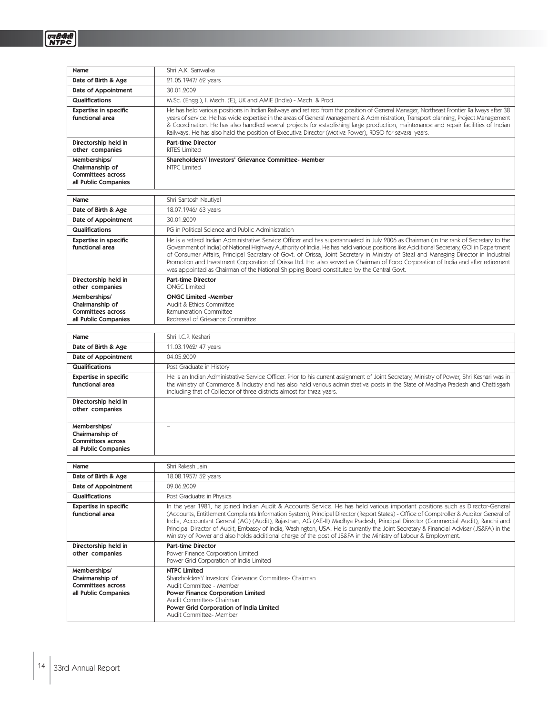| Name                                                                                | Shri A.K. Sanwalka                                                                                                                                                                                                                                                                                                                                                                                                                                                                                                                                                                                                                                                      |
|-------------------------------------------------------------------------------------|-------------------------------------------------------------------------------------------------------------------------------------------------------------------------------------------------------------------------------------------------------------------------------------------------------------------------------------------------------------------------------------------------------------------------------------------------------------------------------------------------------------------------------------------------------------------------------------------------------------------------------------------------------------------------|
| Date of Birth & Age                                                                 | 21.05.1947/ 62 years                                                                                                                                                                                                                                                                                                                                                                                                                                                                                                                                                                                                                                                    |
| Date of Appointment                                                                 | 30.01.2009                                                                                                                                                                                                                                                                                                                                                                                                                                                                                                                                                                                                                                                              |
| Qualifications                                                                      | M.Sc. (Engg.), I. Mech. (E), UK and AMIE (India) - Mech. & Prod.                                                                                                                                                                                                                                                                                                                                                                                                                                                                                                                                                                                                        |
| <b>Expertise in specific</b><br>functional area                                     | He has held various positions in Indian Railways and retired from the position of General Manager, Northeast Frontier Railways after 38<br>years of service. He has wide expertise in the areas of General Management & Administration, Transport planning, Project Management<br>& Coordination. He has also handled several projects for establishing large production, maintenance and repair facilities of Indian<br>Railways. He has also held the position of Executive Director (Motive Power), RDSO for several years.                                                                                                                                          |
| Directorship held in<br>other companies                                             | <b>Part-time Director</b><br><b>RITES Limited</b>                                                                                                                                                                                                                                                                                                                                                                                                                                                                                                                                                                                                                       |
| Memberships/<br>Chairmanship of<br><b>Committees across</b><br>all Public Companies | Shareholders'/ Investors' Grievance Committee- Member<br><b>NTPC Limited</b>                                                                                                                                                                                                                                                                                                                                                                                                                                                                                                                                                                                            |
| Name                                                                                | Shri Santosh Nautiyal                                                                                                                                                                                                                                                                                                                                                                                                                                                                                                                                                                                                                                                   |
| Date of Birth & Age                                                                 | 18.07.1946/ 63 years                                                                                                                                                                                                                                                                                                                                                                                                                                                                                                                                                                                                                                                    |
| Date of Appointment                                                                 | 30.01.2009                                                                                                                                                                                                                                                                                                                                                                                                                                                                                                                                                                                                                                                              |
| Qualifications                                                                      | PG in Political Science and Public Administration                                                                                                                                                                                                                                                                                                                                                                                                                                                                                                                                                                                                                       |
| <b>Expertise in specific</b><br>functional area                                     | He is a retired Indian Administrative Service Officer and has superannuated in July 2006 as Chairman (in the rank of Secretary to the<br>Government of India) of National Highway Authority of India. He has held various positions like Additional Secretary, GOI in Department<br>of Consumer Affairs, Principal Secretary of Govt. of Orissa, Joint Secretary in Ministry of Steel and Managing Director in Industrial<br>Promotion and Investment Corporation of Orissa Ltd. He also served as Chairman of Food Corporation of India and after retirement<br>was appointed as Chairman of the National Shipping Board constituted by the Central Govt.              |
| Directorship held in<br>other companies                                             | <b>Part-time Director</b><br><b>ONGC Limited</b>                                                                                                                                                                                                                                                                                                                                                                                                                                                                                                                                                                                                                        |
| Memberships/<br>Chairmanship of<br><b>Committees across</b><br>all Public Companies | <b>ONGC Limited -Member</b><br>Audit & Ethics Committee<br>Remuneration Committee<br>Redressal of Grievance Committee                                                                                                                                                                                                                                                                                                                                                                                                                                                                                                                                                   |
| Name                                                                                | Shri I.C.P. Keshari                                                                                                                                                                                                                                                                                                                                                                                                                                                                                                                                                                                                                                                     |
| Date of Birth & Age                                                                 | 11.03.1962/ 47 years                                                                                                                                                                                                                                                                                                                                                                                                                                                                                                                                                                                                                                                    |
| Date of Appointment                                                                 | 04.05.2009                                                                                                                                                                                                                                                                                                                                                                                                                                                                                                                                                                                                                                                              |
| <b>Qualifications</b>                                                               | Post Graduate in History                                                                                                                                                                                                                                                                                                                                                                                                                                                                                                                                                                                                                                                |
| <b>Expertise in specific</b><br>functional area                                     | He is an Indian Administrative Service Officer. Prior to his current assignment of Joint Secretary, Ministry of Power, Shri Keshari was in<br>the Ministry of Commerce & Industry and has also held various administrative posts in the State of Madhya Pradesh and Chattisgarh<br>including that of Collector of three districts almost for three years.                                                                                                                                                                                                                                                                                                               |
| Directorship held in<br>other companies                                             |                                                                                                                                                                                                                                                                                                                                                                                                                                                                                                                                                                                                                                                                         |
| Memberships/<br>Chairmanship of<br><b>Committees across</b><br>all Public Companies | $\overline{\phantom{a}}$                                                                                                                                                                                                                                                                                                                                                                                                                                                                                                                                                                                                                                                |
| Name                                                                                | Shri Rakesh Jain                                                                                                                                                                                                                                                                                                                                                                                                                                                                                                                                                                                                                                                        |
| Date of Birth & Age                                                                 | 18.08.1957/ 52 years                                                                                                                                                                                                                                                                                                                                                                                                                                                                                                                                                                                                                                                    |
| Date of Appointment                                                                 | 09.06.2009                                                                                                                                                                                                                                                                                                                                                                                                                                                                                                                                                                                                                                                              |
| Qualifications                                                                      | Post Graduatre in Physics                                                                                                                                                                                                                                                                                                                                                                                                                                                                                                                                                                                                                                               |
| <b>Expertise in specific</b><br>functional area                                     | In the year 1981, he joined Indian Audit & Accounts Service. He has held various important positions such as Director-General<br>(Accounts, Entitlement Complaints Information System), Principal Director (Report States) - Office of Comptroller & Auditor General of<br>India, Accountant General (AG) (Audit), Rajasthan, AG (AE-II) Madhya Pradesh, Principal Director (Commercial Audit), Ranchi and<br>Principal Director of Audit, Embassy of India, Washington, USA. He is currently the Joint Secretary & Financial Adviser (JS&FA) in the<br>Ministry of Power and also holds additional charge of the post of JS&FA in the Ministry of Labour & Employment. |
| Directorship held in<br>other companies                                             | <b>Part-time Director</b><br>Power Finance Corporation Limited<br>Power Grid Corporation of India Limited                                                                                                                                                                                                                                                                                                                                                                                                                                                                                                                                                               |
| Memberships/<br>Chairmanship of<br><b>Committees across</b><br>all Public Companies | <b>NTPC Limited</b><br>Shareholders'/ Investors' Grievance Committee- Chairman<br>Audit Committee - Member<br><b>Power Finance Corporation Limited</b><br>Audit Committee- Chairman<br>Power Grid Corporation of India Limited<br>Audit Committee- Member                                                                                                                                                                                                                                                                                                                                                                                                               |